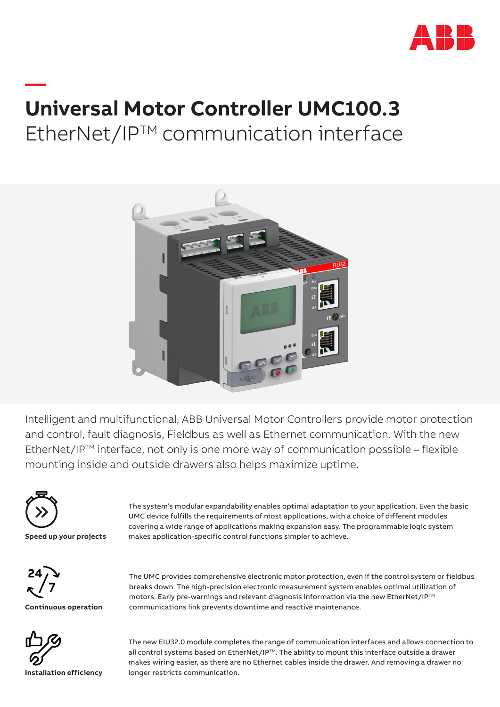

# **— Universal Motor Controller UMC100.3** EtherNet/IPTM communication interface



Intelligent and multifunctional, ABB Universal Motor Controllers provide motor protection and control, fault diagnosis, Fieldbus as well as Ethernet communication. With the new EtherNet/IP<sup>TM</sup> interface, not only is one more way of communication possible – flexible mounting inside and outside drawers also helps maximize uptime.



**Speed up your projects**

The system's modular expandability enables optimal adaptation to your application. Even the basic UMC device fulfills the requirements of most applications, with a choice of different modules covering a wide range of applications making expansion easy. The programmable logic system makes application-specific control functions simpler to achieve.



**Continuous operation**

The UMC provides comprehensive electronic motor protection, even if the control system or fieldbus breaks down. The high-precision electronic measurement system enables optimal utilization of motors. Early pre-warnings and relevant diagnosis information via the new EtherNet/IP™ communications link prevents downtime and reactive maintenance.



The new EIU32.0 module completes the range of communication interfaces and allows connection to all control systems based on EtherNet/IP™. The ability to mount this interface outside a drawer makes wiring easier, as there are no Ethernet cables inside the drawer. And removing a drawer no longer restricts communication.